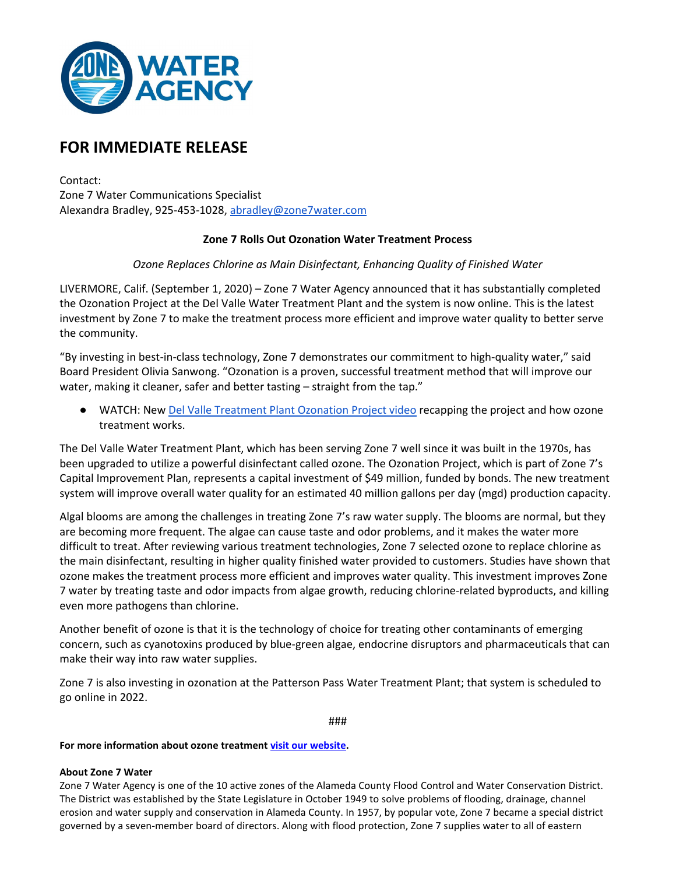

# **FOR IMMEDIATE RELEASE**

Contact: Zone 7 Water Communications Specialist Alexandra Bradley, 925-453-1028, [abradley@zone7water.com](mailto:abradley@zone7water.com)

## **Zone 7 Rolls Out Ozonation Water Treatment Process**

## *Ozone Replaces Chlorine as Main Disinfectant, Enhancing Quality of Finished Water*

LIVERMORE, Calif. (September 1, 2020) – Zone 7 Water Agency announced that it has substantially completed the Ozonation Project at the Del Valle Water Treatment Plant and the system is now online. This is the latest investment by Zone 7 to make the treatment process more efficient and improve water quality to better serve the community.

"By investing in best-in-class technology, Zone 7 demonstrates our commitment to high-quality water," said Board President Olivia Sanwong. "Ozonation is a proven, successful treatment method that will improve our water, making it cleaner, safer and better tasting – straight from the tap."

● WATCH: Ne[w Del Valle Treatment Plant Ozonation Project video](https://youtu.be/88EJ5UR1_kI) recapping the project and how ozone treatment works.

The Del Valle Water Treatment Plant, which has been serving Zone 7 well since it was built in the 1970s, has been upgraded to utilize a powerful disinfectant called ozone. The Ozonation Project, which is part of Zone 7's Capital Improvement Plan, represents a capital investment of \$49 million, funded by bonds. The new treatment system will improve overall water quality for an estimated 40 million gallons per day (mgd) production capacity.

Algal blooms are among the challenges in treating Zone 7's raw water supply. The blooms are normal, but they are becoming more frequent. The algae can cause taste and odor problems, and it makes the water more difficult to treat. After reviewing various treatment technologies, Zone 7 selected ozone to replace chlorine as the main disinfectant, resulting in higher quality finished water provided to customers. Studies have shown that ozone makes the treatment process more efficient and improves water quality. This investment improves Zone 7 water by treating taste and odor impacts from algae growth, reducing chlorine-related byproducts, and killing even more pathogens than chlorine.

Another benefit of ozone is that it is the technology of choice for treating other contaminants of emerging concern, such as cyanotoxins produced by blue-green algae, endocrine disruptors and pharmaceuticals that can make their way into raw water supplies.

Zone 7 is also investing in ozonation at the Patterson Pass Water Treatment Plant; that system is scheduled to go online in 2022.

###

### **For more information about ozone treatment [visit our website.](https://www.zone7water.com/43-public/386-dvwtp-ozonation-project)**

### **About Zone 7 Water**

Zone 7 Water Agency is one of the 10 active zones of the Alameda County Flood Control and Water Conservation District. The District was established by the State Legislature in October 1949 to solve problems of flooding, drainage, channel erosion and water supply and conservation in Alameda County. In 1957, by popular vote, Zone 7 became a special district governed by a seven-member board of directors. Along with flood protection, Zone 7 supplies water to all of eastern